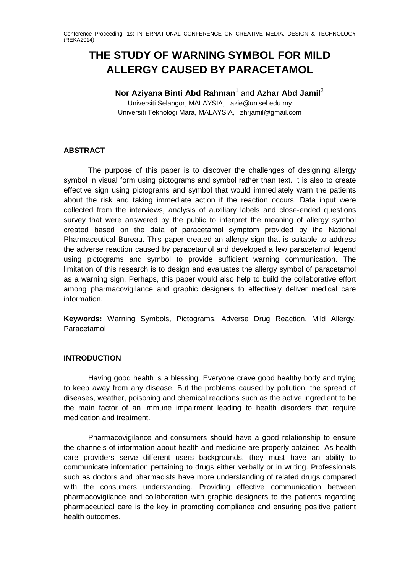# **THE STUDY OF WARNING SYMBOL FOR MILD ALLERGY CAUSED BY PARACETAMOL**

**Nor Aziyana Binti Abd Rahman**<sup>1</sup> and **Azhar Abd Jamil**<sup>2</sup>

Universiti Selangor, MALAYSIA, [azie@unisel.edu.my](mailto:azie@unisel.edu.my) Universiti Teknologi Mara, MALAYSIA, zhrjamil@gmail.com

### **ABSTRACT**

The purpose of this paper is to discover the challenges of designing allergy symbol in visual form using pictograms and symbol rather than text. It is also to create effective sign using pictograms and symbol that would immediately warn the patients about the risk and taking immediate action if the reaction occurs. Data input were collected from the interviews, analysis of auxiliary labels and close-ended questions survey that were answered by the public to interpret the meaning of allergy symbol created based on the data of paracetamol symptom provided by the National Pharmaceutical Bureau. This paper created an allergy sign that is suitable to address the adverse reaction caused by paracetamol and developed a few paracetamol legend using pictograms and symbol to provide sufficient warning communication. The limitation of this research is to design and evaluates the allergy symbol of paracetamol as a warning sign. Perhaps, this paper would also help to build the collaborative effort among pharmacovigilance and graphic designers to effectively deliver medical care information.

**Keywords:** Warning Symbols, Pictograms, Adverse Drug Reaction, Mild Allergy, Paracetamol

### **INTRODUCTION**

Having good health is a blessing. Everyone crave good healthy body and trying to keep away from any disease. But the problems caused by pollution, the spread of diseases, weather, poisoning and chemical reactions such as the active ingredient to be the main factor of an immune impairment leading to health disorders that require medication and treatment.

Pharmacovigilance and consumers should have a good relationship to ensure the channels of information about health and medicine are properly obtained. As health care providers serve different users backgrounds, they must have an ability to communicate information pertaining to drugs either verbally or in writing. Professionals such as doctors and pharmacists have more understanding of related drugs compared with the consumers understanding. Providing effective communication between pharmacovigilance and collaboration with graphic designers to the patients regarding pharmaceutical care is the key in promoting compliance and ensuring positive patient health outcomes.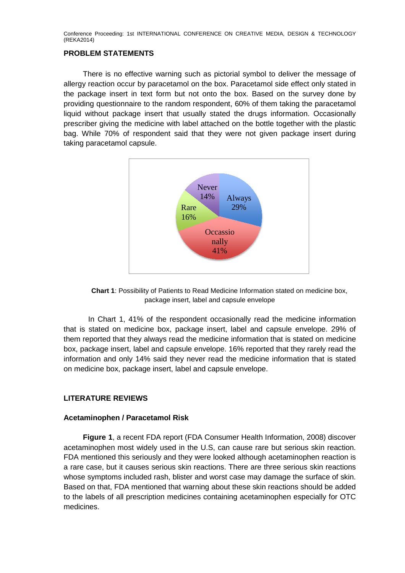### **PROBLEM STATEMENTS**

There is no effective warning such as pictorial symbol to deliver the message of allergy reaction occur by paracetamol on the box. Paracetamol side effect only stated in the package insert in text form but not onto the box. Based on the survey done by providing questionnaire to the random respondent, 60% of them taking the paracetamol liquid without package insert that usually stated the drugs information. Occasionally prescriber giving the medicine with label attached on the bottle together with the plastic bag. While 70% of respondent said that they were not given package insert during taking paracetamol capsule.



**Chart 1**: Possibility of Patients to Read Medicine Information stated on medicine box, package insert, label and capsule envelope

In Chart 1, 41% of the respondent occasionally read the medicine information that is stated on medicine box, package insert, label and capsule envelope. 29% of them reported that they always read the medicine information that is stated on medicine box, package insert, label and capsule envelope. 16% reported that they rarely read the information and only 14% said they never read the medicine information that is stated on medicine box, package insert, label and capsule envelope.

### **LITERATURE REVIEWS**

### **Acetaminophen / Paracetamol Risk**

**Figure 1**, a recent FDA report (FDA Consumer Health Information, 2008) discover acetaminophen most widely used in the U.S, can cause rare but serious skin reaction. FDA mentioned this seriously and they were looked although acetaminophen reaction is a rare case, but it causes serious skin reactions. There are three serious skin reactions whose symptoms included rash, blister and worst case may damage the surface of skin. Based on that, FDA mentioned that warning about these skin reactions should be added to the labels of all prescription medicines containing acetaminophen especially for OTC medicines.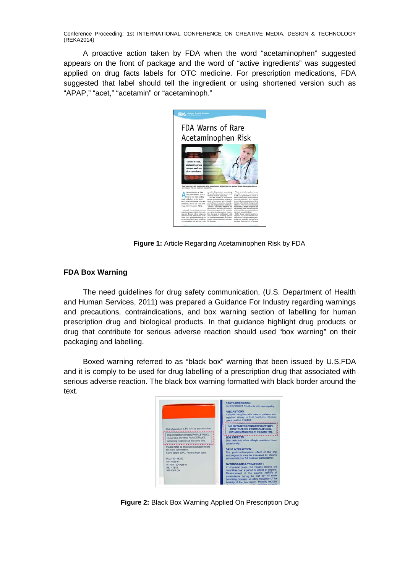A proactive action taken by FDA when the word "acetaminophen" suggested appears on the front of package and the word of "active ingredients" was suggested applied on drug facts labels for OTC medicine. For prescription medications, FDA suggested that label should tell the ingredient or using shortened version such as "APAP," "acet," "acetamin" or "acetaminoph."



**Figure 1:** Article Regarding Acetaminophen Risk by FDA

### **FDA Box Warning**

The need guidelines for drug safety communication, (U.S. Department of Health and Human Services, 2011) was prepared a Guidance For Industry regarding warnings and precautions, contraindications, and box warning section of labelling for human prescription drug and biological products. In that guidance highlight drug products or drug that contribute for serious adverse reaction should used "box warning" on their packaging and labelling.

Boxed warning referred to as "black box" warning that been issued by U.S.FDA and it is comply to be used for drug labelling of a prescription drug that associated with serious adverse reaction. The black box warning formatted with black border around the text.



**Figure 2:** Black Box Warning Applied On Prescription Drug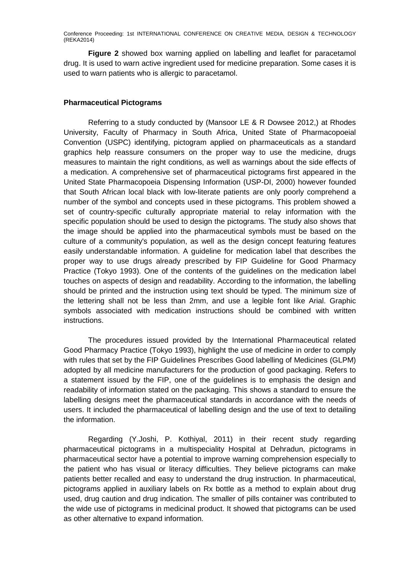**Figure 2** showed box warning applied on labelling and leaflet for paracetamol drug. It is used to warn active ingredient used for medicine preparation. Some cases it is used to warn patients who is allergic to paracetamol.

### **Pharmaceutical Pictograms**

Referring to a study conducted by (Mansoor LE & R Dowsee 2012,) at Rhodes University, Faculty of Pharmacy in South Africa, United State of Pharmacopoeial Convention (USPC) identifying, pictogram applied on pharmaceuticals as a standard graphics help reassure consumers on the proper way to use the medicine, drugs measures to maintain the right conditions, as well as warnings about the side effects of a medication. A comprehensive set of pharmaceutical pictograms first appeared in the United State Pharmacopoeia Dispensing Information (USP-DI, 2000) however founded that South African local black with low-literate patients are only poorly comprehend a number of the symbol and concepts used in these pictograms. This problem showed a set of country-specific culturally appropriate material to relay information with the specific population should be used to design the pictograms. The study also shows that the image should be applied into the pharmaceutical symbols must be based on the culture of a community's population, as well as the design concept featuring features easily understandable information. A guideline for medication label that describes the proper way to use drugs already prescribed by FIP Guideline for Good Pharmacy Practice (Tokyo 1993). One of the contents of the guidelines on the medication label touches on aspects of design and readability. According to the information, the labelling should be printed and the instruction using text should be typed. The minimum size of the lettering shall not be less than 2mm, and use a legible font like Arial. Graphic symbols associated with medication instructions should be combined with written instructions.

The procedures issued provided by the International Pharmaceutical related Good Pharmacy Practice (Tokyo 1993), highlight the use of medicine in order to comply with rules that set by the FIP Guidelines Prescribes Good labelling of Medicines (GLPM) adopted by all medicine manufacturers for the production of good packaging. Refers to a statement issued by the FIP, one of the guidelines is to emphasis the design and readability of information stated on the packaging. This shows a standard to ensure the labelling designs meet the pharmaceutical standards in accordance with the needs of users. It included the pharmaceutical of labelling design and the use of text to detailing the information.

Regarding (Y.Joshi, P. Kothiyal, 2011) in their recent study regarding pharmaceutical pictograms in a multispeciality Hospital at Dehradun, pictograms in pharmaceutical sector have a potential to improve warning comprehension especially to the patient who has visual or literacy difficulties. They believe pictograms can make patients better recalled and easy to understand the drug instruction. In pharmaceutical, pictograms applied in auxiliary labels on Rx bottle as a method to explain about drug used, drug caution and drug indication. The smaller of pills container was contributed to the wide use of pictograms in medicinal product. It showed that pictograms can be used as other alternative to expand information.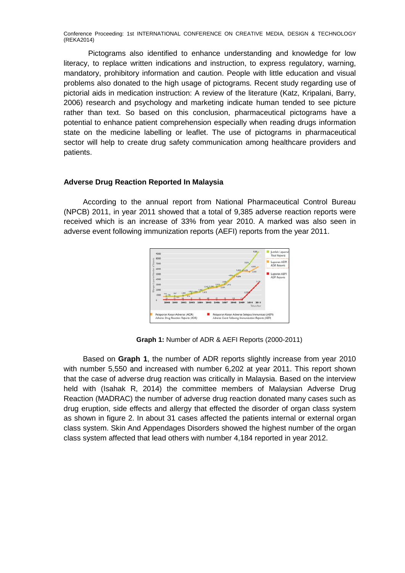Pictograms also identified to enhance understanding and knowledge for low literacy, to replace written indications and instruction, to express regulatory, warning, mandatory, prohibitory information and caution. People with little education and visual problems also donated to the high usage of pictograms. Recent study regarding use of pictorial aids in medication instruction: A review of the literature (Katz, Kripalani, Barry, 2006) research and psychology and marketing indicate human tended to see picture rather than text. So based on this conclusion, pharmaceutical pictograms have a potential to enhance patient comprehension especially when reading drugs information state on the medicine labelling or leaflet. The use of pictograms in pharmaceutical sector will help to create drug safety communication among healthcare providers and patients.

### **Adverse Drug Reaction Reported In Malaysia**

According to the annual report from National Pharmaceutical Control Bureau (NPCB) 2011, in year 2011 showed that a total of 9,385 adverse reaction reports were received which is an increase of 33% from year 2010. A marked was also seen in adverse event following immunization reports (AEFI) reports from the year 2011.



**Graph 1:** Number of ADR & AEFI Reports (2000-2011)

Based on **Graph 1**, the number of ADR reports slightly increase from year 2010 with number 5,550 and increased with number 6,202 at year 2011. This report shown that the case of adverse drug reaction was critically in Malaysia. Based on the interview held with (Isahak R, 2014) the committee members of Malaysian Adverse Drug Reaction (MADRAC) the number of adverse drug reaction donated many cases such as drug eruption, side effects and allergy that effected the disorder of organ class system as shown in figure 2. In about 31 cases affected the patients internal or external organ class system. Skin And Appendages Disorders showed the highest number of the organ class system affected that lead others with number 4,184 reported in year 2012.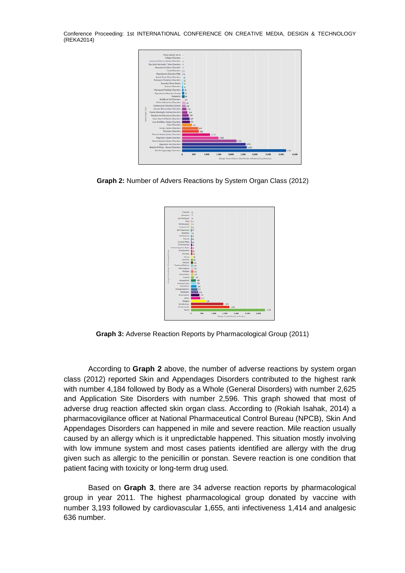

**Graph 2:** Number of Advers Reactions by System Organ Class (2012)



**Graph 3:** Adverse Reaction Reports by Pharmacological Group (2011)

According to **Graph 2** above, the number of adverse reactions by system organ class (2012) reported Skin and Appendages Disorders contributed to the highest rank with number 4,184 followed by Body as a Whole (General Disorders) with number 2,625 and Application Site Disorders with number 2,596. This graph showed that most of adverse drug reaction affected skin organ class. According to (Rokiah Isahak, 2014) a pharmacovigilance officer at National Pharmaceutical Control Bureau (NPCB), Skin And Appendages Disorders can happened in mile and severe reaction. Mile reaction usually caused by an allergy which is it unpredictable happened. This situation mostly involving with low immune system and most cases patients identified are allergy with the drug given such as allergic to the penicillin or ponstan. Severe reaction is one condition that patient facing with toxicity or long-term drug used.

Based on **Graph 3**, there are 34 adverse reaction reports by pharmacological group in year 2011. The highest pharmacological group donated by vaccine with number 3,193 followed by cardiovascular 1,655, anti infectiveness 1,414 and analgesic 636 number.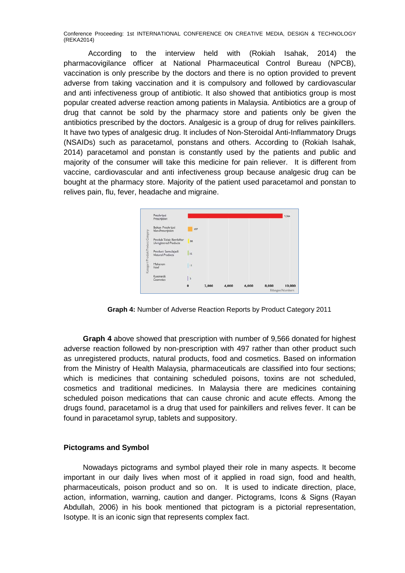According to the interview held with (Rokiah Isahak, 2014) the pharmacovigilance officer at National Pharmaceutical Control Bureau (NPCB), vaccination is only prescribe by the doctors and there is no option provided to prevent adverse from taking vaccination and it is compulsory and followed by cardiovascular and anti infectiveness group of antibiotic. It also showed that antibiotics group is most popular created adverse reaction among patients in Malaysia. Antibiotics are a group of drug that cannot be sold by the pharmacy store and patients only be given the antibiotics prescribed by the doctors. Analgesic is a group of drug for relives painkillers. It have two types of analgesic drug. It includes of Non-Steroidal Anti-Inflammatory Drugs (NSAIDs) such as paracetamol, ponstans and others. According to (Rokiah Isahak, 2014) paracetamol and ponstan is constantly used by the patients and public and majority of the consumer will take this medicine for pain reliever. It is different from vaccine, cardiovascular and anti infectiveness group because analgesic drug can be bought at the pharmacy store. Majority of the patient used paracetamol and ponstan to relives pain, flu, fever, headache and migraine.



**Graph 4:** Number of Adverse Reaction Reports by Product Category 2011

**Graph 4** above showed that prescription with number of 9,566 donated for highest adverse reaction followed by non-prescription with 497 rather than other product such as unregistered products, natural products, food and cosmetics. Based on information from the Ministry of Health Malaysia, pharmaceuticals are classified into four sections; which is medicines that containing scheduled poisons, toxins are not scheduled, cosmetics and traditional medicines. In Malaysia there are medicines containing scheduled poison medications that can cause chronic and acute effects. Among the drugs found, paracetamol is a drug that used for painkillers and relives fever. It can be found in paracetamol syrup, tablets and suppository.

### **Pictograms and Symbol**

Nowadays pictograms and symbol played their role in many aspects. It become important in our daily lives when most of it applied in road sign, food and health, pharmaceuticals, poison product and so on. It is used to indicate direction, place, action, information, warning, caution and danger. Pictograms, Icons & Signs (Rayan Abdullah, 2006) in his book mentioned that pictogram is a pictorial representation, Isotype. It is an iconic sign that represents complex fact.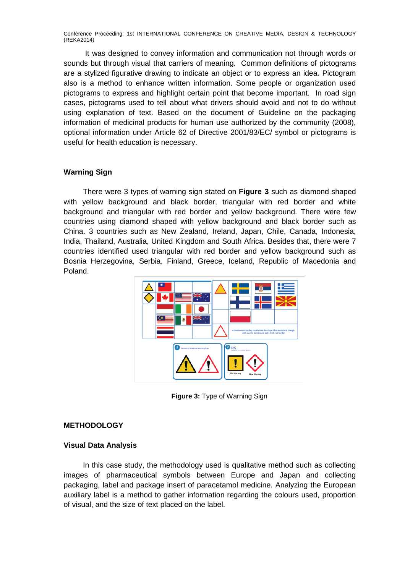It was designed to convey information and communication not through words or sounds but through visual that carriers of meaning. Common definitions of pictograms are a stylized figurative drawing to indicate an object or to express an idea. Pictogram also is a method to enhance written information. Some people or organization used pictograms to express and highlight certain point that become important. In road sign cases, pictograms used to tell about what drivers should avoid and not to do without using explanation of text. Based on the document of Guideline on the packaging information of medicinal products for human use authorized by the community (2008), optional information under Article 62 of Directive 2001/83/EC/ symbol or pictograms is useful for health education is necessary.

### **Warning Sign**

There were 3 types of warning sign stated on **Figure 3** such as diamond shaped with yellow background and black border, triangular with red border and white background and triangular with red border and yellow background. There were few countries using diamond shaped with yellow background and black border such as China. 3 countries such as New Zealand, Ireland, Japan, Chile, Canada, Indonesia, India, Thailand, Australia, United Kingdom and South Africa. Besides that, there were 7 countries identified used triangular with red border and yellow background such as Bosnia Herzegovina, Serbia, Finland, Greece, Iceland, Republic of Macedonia and Poland.



**Figure 3:** Type of Warning Sign

### **METHODOLOGY**

### **Visual Data Analysis**

In this case study, the methodology used is qualitative method such as collecting images of pharmaceutical symbols between Europe and Japan and collecting packaging, label and package insert of paracetamol medicine. Analyzing the European auxiliary label is a method to gather information regarding the colours used, proportion of visual, and the size of text placed on the label.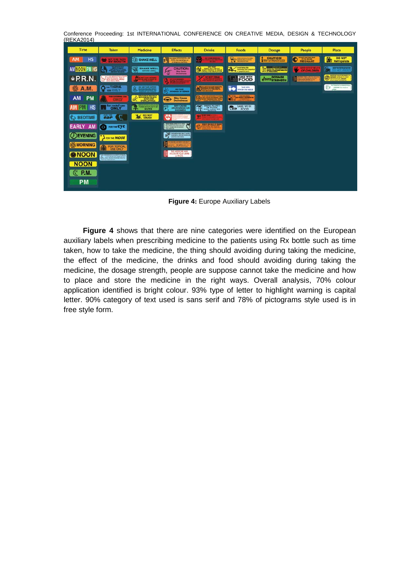Conference Proceeding: 1st INTERNATIONAL CONFERENCE ON CREATIVE MEDIA, DESIGN & TECHNOLOGY (REKA2014)

| Time                   | <b>Taken</b>                                                     | <b>Medicine</b>                                                                     | <b>Effects</b>                                                                                                                                | <b>Drinks</b>                                                                              | Foods                                                                           | <b>Dosage</b>                                | People                                          | <b>Place</b>                                                                      |
|------------------------|------------------------------------------------------------------|-------------------------------------------------------------------------------------|-----------------------------------------------------------------------------------------------------------------------------------------------|--------------------------------------------------------------------------------------------|---------------------------------------------------------------------------------|----------------------------------------------|-------------------------------------------------|-----------------------------------------------------------------------------------|
| <b>HS</b><br>AM        | <b>BOTTO AL TAKEN</b><br><b>BY MOUTH</b>                         | SHAKE WELL                                                                          | may cause DROWSINESS LISE<br>E<br>CARE when operating a car<br>ordergema materey.                                                             | <b>NO TOWE REMOVE</b><br>戛<br><b><i><i><u>ALCOHOL: WINDOWS</u></i></i></b>                 | ANDER CHOCKLATE, WIND,<br><b>ANDERSONAND WAS</b><br><b>CONTROLLAND THE MAIL</b> | CAUTION                                      | <b>DO HER TAKE THE DRIVE</b><br><b>PREGNANT</b> | <b>DO NOT</b><br>函<br>Refrigerate                                                 |
| <b>AM NOON PM HS</b>   | THE STATE STORAGE                                                | R,<br><b>SHAKE WELL</b><br><b>BEFORE USING</b>                                      | <b>CAUTION:</b><br>$\overline{\mathbb{F}}$<br><b>May Ceuse</b><br><b>Drowsiness</b>                                                           | <b>DO NOT</b><br>€<br>DRIVE MEX OR EAT                                                     | $\blacktriangle$<br>Arold taking this<br><b>David and an anti-paperball</b>     | <b><i>ISMONTANT</i></b><br>OO WARCH HE WANTS | <b>KEEP OUT OF BEACH</b><br>OF CHILDREN         | c.<br><b>KEEP IN REPRIGERATOR</b><br><b>DO NOT FREEZ</b>                          |
| $e$ P.R.N.             | YOUR STOMAGE TAKE ()<br>Þ                                        | <b>WORK CARD IN THE</b>                                                             |                                                                                                                                               | 47<br><b>DO NOT DRIVE</b>                                                                  | <b>FOOD</b><br>Lat                                                              | <b>DOSAGE</b><br><b>VERTI STRENGTH</b>       | ACTOR DE DIRECTORE DE NON BEAN                  | <b>INVESTIGE AND MOLECULOR</b><br>0                                               |
| <b>A.M.</b>            | ros VAGINAL<br>$\bullet$<br><b>USE OF</b>                        | <b>BO HOT TAXE ASPIRIN</b><br><b>IX EXHIBITION PRODUCTS</b><br>WINCLE ENDINEERS AND | <b>MAY CAUSE</b><br>리<br>DROWSHESS OR DOZAWIS                                                                                                 | XI                                                                                         | <b>TAKE WITH</b><br><b>FOOD OR MILK</b>                                         |                                              |                                                 | <b><i>REFRIGERATE: GHARE WELL!</i></b><br>6<br><b>DSCARD blu madole</b><br>Arres. |
| <b>AM</b><br><b>PM</b> | FOR EXTERNAL USE                                                 | <b>ALCOHOL: UNADER AT</b><br>DISTURBANCE<br>ď                                       | <b>May Cause</b><br><b>Drowsiness</b>                                                                                                         | IT WAY BE ADVISABLE TO DRIVE<br>OF RET A BANK OF CAMBER ANCH<br><b>TANZAL FINEMISSIONS</b> | <b>BATTALOGICA</b><br>в                                                         |                                              |                                                 |                                                                                   |
| <b>PM HS</b>           | for rectal use                                                   | Million At you brench o aut<br>TAKEN WITH PLENTY OF<br>h.<br><b>WATER</b>           | <b>MAY CAUSE</b><br>a<br>DROWSINESS OR<br><b>DIZZINESS</b>                                                                                    | <b>THE BRISK PLENTY</b><br>13                                                              | <b>TAKE WITH</b><br><b>Can</b><br>FOOD                                          |                                              |                                                 |                                                                                   |
| <b>BEDTIME</b>         | ear (C                                                           | <b>CRUSH</b>                                                                        | w<br>O STOT & USER:<br><b>BELLED AT LEAST</b>                                                                                                 | 20 Nov 240W<br><b>W</b>                                                                    |                                                                                 |                                              |                                                 |                                                                                   |
| EARLY AM               | <b>O</b> FOR THE CYC                                             |                                                                                     | <b>SETAR MISSIN, APRIL SITUIT: INCNE</b><br>Ć<br>ADM PANDRATION DRUGS, SIGHT ANY<br>ARRET THE MEDDAN UN ALCOHOL<br><b>While International</b> | <b>STATE &amp; LEE WANTED STATE</b><br>deed pace) a                                        |                                                                                 |                                              |                                                 |                                                                                   |
| ( <i>J</i> ) EVENING   | Fron the NOSE                                                    |                                                                                     | THIS MEDICINE WAY CAVIE  <br>DIZINESS, DECISIONES C#2<br><b>INGAINGABERNEES</b>                                                               |                                                                                            |                                                                                 |                                              |                                                 |                                                                                   |
| <b>総MORNING</b>        | <b>FOR TOPICAL</b><br><b>USE ONLY</b>                            |                                                                                     | <b><i>BEACH CAP SEN CIDA ABUTS</i></b><br><b>BE CARTFUL</b>                                                                                   |                                                                                            |                                                                                 |                                              |                                                 |                                                                                   |
| <b>MOON</b>            | ALL FREE FEMALE ON AN INFER STORAGE.<br><b>Commercial Street</b> |                                                                                     | THIS MEDICINE MAY<br>DISCOLOR YOUR URINE<br>or FECES.                                                                                         |                                                                                            |                                                                                 |                                              |                                                 |                                                                                   |
| <b>NOON</b>            |                                                                  |                                                                                     |                                                                                                                                               |                                                                                            |                                                                                 |                                              |                                                 |                                                                                   |
| <b>P.M.</b>            |                                                                  |                                                                                     |                                                                                                                                               |                                                                                            |                                                                                 |                                              |                                                 |                                                                                   |
| <b>PM</b>              |                                                                  |                                                                                     |                                                                                                                                               |                                                                                            |                                                                                 |                                              |                                                 |                                                                                   |

**Figure 4: Europe Auxiliary Labels** 

**Figure 4** shows that there are nine categories were identified on the European auxiliary labels when prescribing medicine to the patients using Rx bottle such as time taken, how to take the medicine, the thing should avoiding during taking the medicine, the effect of the medicine, the drinks and food should avoiding during taking the medicine, the dosage strength, people are suppose cannot take the medicine and how to place and store the medicine in the right ways. Overall analysis, 70% colour application identified is bright colour. 93% type of letter to highlight warning is capital letter. 90% category of text used is sans serif and 78% of pictograms style used is in free style form.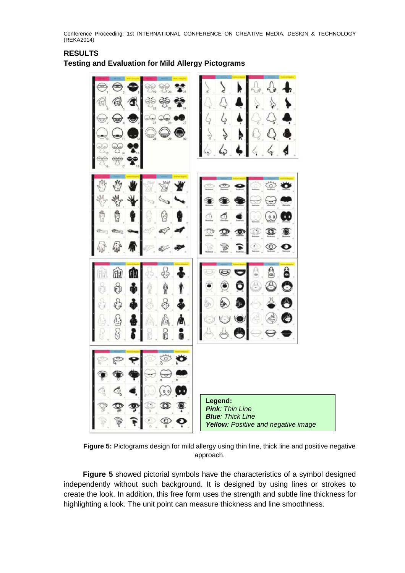# ٢E **Legend:** *Pink: Thin Line Blue: Thick Line Yellow: Positive and negative image*

## **RESULTS**

**Testing and Evaluation for Mild Allergy Pictograms**

**Figure 5:** Pictograms design for mild allergy using thin line, thick line and positive negative approach.

**Figure 5** showed pictorial symbols have the characteristics of a symbol designed independently without such background. It is designed by using lines or strokes to create the look. In addition, this free form uses the strength and subtle line thickness for highlighting a look. The unit point can measure thickness and line smoothness.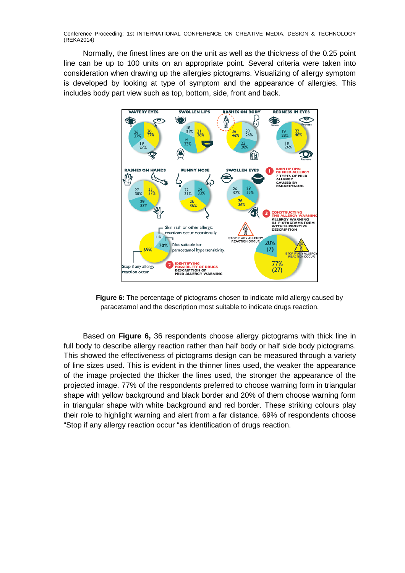Normally, the finest lines are on the unit as well as the thickness of the 0.25 point line can be up to 100 units on an appropriate point. Several criteria were taken into consideration when drawing up the allergies pictograms. Visualizing of allergy symptom is developed by looking at type of symptom and the appearance of allergies. This includes body part view such as top, bottom, side, front and back.



**Figure 6:** The percentage of pictograms chosen to indicate mild allergy caused by paracetamol and the description most suitable to indicate drugs reaction.

Based on **Figure 6,** 36 respondents choose allergy pictograms with thick line in full body to describe allergy reaction rather than half body or half side body pictograms. This showed the effectiveness of pictograms design can be measured through a variety of line sizes used. This is evident in the thinner lines used, the weaker the appearance of the image projected the thicker the lines used, the stronger the appearance of the projected image. 77% of the respondents preferred to choose warning form in triangular shape with yellow background and black border and 20% of them choose warning form in triangular shape with white background and red border. These striking colours play their role to highlight warning and alert from a far distance. 69% of respondents choose "Stop if any allergy reaction occur "as identification of drugs reaction.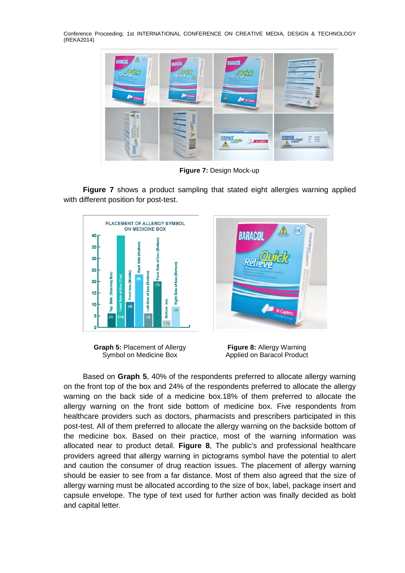

**Figure 7:** Design Mock-up

**Figure 7** shows a product sampling that stated eight allergies warning applied with different position for post-test.



**Graph 5:** Placement of Allergy Symbol on Medicine Box



**Figure 8:** Allergy Warning Applied on Baracol Product

Based on **Graph 5**, 40% of the respondents preferred to allocate allergy warning on the front top of the box and 24% of the respondents preferred to allocate the allergy warning on the back side of a medicine box.18% of them preferred to allocate the allergy warning on the front side bottom of medicine box. Five respondents from healthcare providers such as doctors, pharmacists and prescribers participated in this post-test. All of them preferred to allocate the allergy warning on the backside bottom of the medicine box. Based on their practice, most of the warning information was allocated near to product detail. **Figure 8**, The public's and professional healthcare providers agreed that allergy warning in pictograms symbol have the potential to alert and caution the consumer of drug reaction issues. The placement of allergy warning should be easier to see from a far distance. Most of them also agreed that the size of allergy warning must be allocated according to the size of box, label, package insert and capsule envelope. The type of text used for further action was finally decided as bold and capital letter.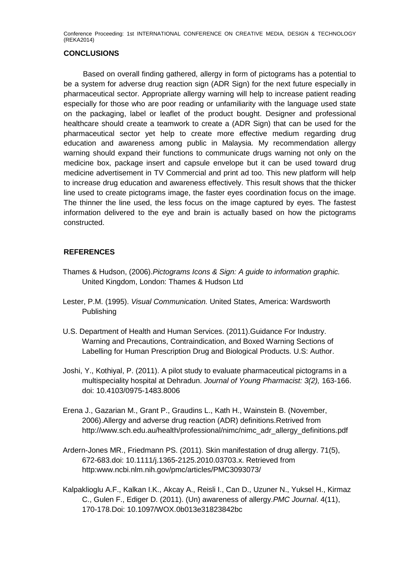### **CONCLUSIONS**

Based on overall finding gathered, allergy in form of pictograms has a potential to be a system for adverse drug reaction sign (ADR Sign) for the next future especially in pharmaceutical sector. Appropriate allergy warning will help to increase patient reading especially for those who are poor reading or unfamiliarity with the language used state on the packaging, label or leaflet of the product bought. Designer and professional healthcare should create a teamwork to create a (ADR Sign) that can be used for the pharmaceutical sector yet help to create more effective medium regarding drug education and awareness among public in Malaysia. My recommendation allergy warning should expand their functions to communicate drugs warning not only on the medicine box, package insert and capsule envelope but it can be used toward drug medicine advertisement in TV Commercial and print ad too. This new platform will help to increase drug education and awareness effectively. This result shows that the thicker line used to create pictograms image, the faster eyes coordination focus on the image. The thinner the line used, the less focus on the image captured by eyes. The fastest information delivered to the eye and brain is actually based on how the pictograms constructed.

### **REFERENCES**

- Thames & Hudson, (2006).*Pictograms Icons & Sign: A guide to information graphic.*  United Kingdom, London: Thames & Hudson Ltd
- Lester, P.M. (1995). *Visual Communication.* United States, America: Wardsworth Publishing
- U.S. Department of Health and Human Services. (2011).Guidance For Industry. Warning and Precautions, Contraindication, and Boxed Warning Sections of Labelling for Human Prescription Drug and Biological Products. U.S: Author.
- Joshi, Y., Kothiyal, P. (2011). A pilot study to evaluate pharmaceutical pictograms in a multispeciality hospital at Dehradun. *Journal of Young Pharmacist: 3(2),* 163-166. doi: 10.4103/0975-1483.8006
- Erena J., Gazarian M., Grant P., Graudins L., Kath H., Wainstein B. (November, 2006).Allergy and adverse drug reaction (ADR) definitions.Retrived from http://www.sch.edu.au/health/professional/nimc/nimc\_adr\_allergy\_definitions.pdf
- Ardern-Jones MR., Friedmann PS. (2011). Skin manifestation of drug allergy. 71(5), 672-683.doi: 10.1111/j.1365-2125.2010.03703.x. Retrieved from http:www.ncbi.nlm.nih.gov/pmc/articles/PMC3093073/
- Kalpaklioglu A.F., Kalkan I.K., Akcay A., Reisli I., Can D., Uzuner N., Yuksel H., Kirmaz C., Gulen F., Ediger D. (2011). (Un) awareness of allergy.*PMC Journal*. 4(11), 170-178.Doi: 10.1097/WOX.0b013e31823842bc